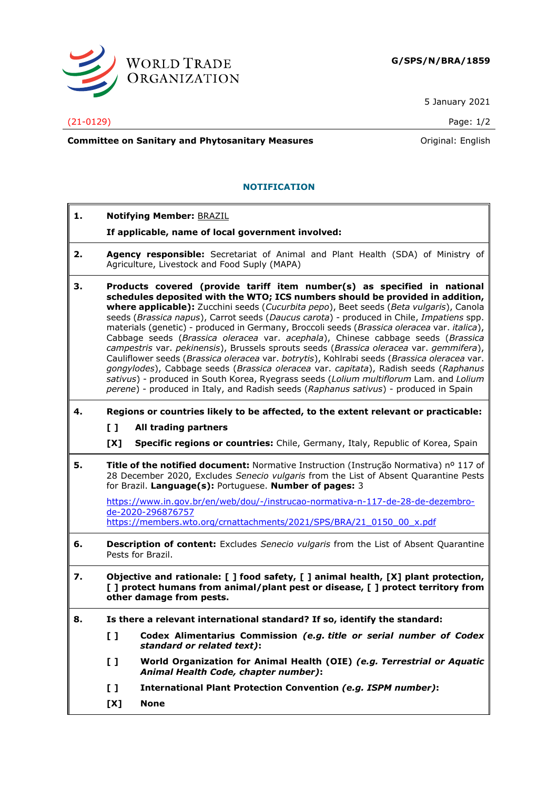

5 January 2021

(21-0129) Page: 1/2

**Committee on Sanitary and Phytosanitary Measures Committee on Sanitary and Phytosanitary Measures Committee And American** 

## **NOTIFICATION**

- **1. Notifying Member:** BRAZIL
	- **If applicable, name of local government involved:**
- **2. Agency responsible:** Secretariat of Animal and Plant Health (SDA) of Ministry of Agriculture, Livestock and Food Suply (MAPA)
- **3. Products covered (provide tariff item number(s) as specified in national schedules deposited with the WTO; ICS numbers should be provided in addition, where applicable):** Zucchini seeds (*Cucurbita pepo*), Beet seeds (*Beta vulgaris*), Canola seeds (*Brassica napus*), Carrot seeds (*Daucus carota*) - produced in Chile, *Impatiens* spp. materials (genetic) - produced in Germany, Broccoli seeds (*Brassica oleracea* var. *italica*), Cabbage seeds (*Brassica oleracea* var. *acephala*), Chinese cabbage seeds (*Brassica campestris* var. *pekinensis*), Brussels sprouts seeds (*Brassica oleracea* var. *gemmifera*), Cauliflower seeds (*Brassica oleracea* var. *botrytis*), Kohlrabi seeds (*Brassica oleracea* var. *gongylodes*), Cabbage seeds (*Brassica oleracea* var. *capitata*), Radish seeds (*Raphanus sativus*) - produced in South Korea, Ryegrass seeds (*Lolium multiflorum* Lam. and *Lolium perene*) - produced in Italy, and Radish seeds (*Raphanus sativus*) - produced in Spain
- **4. Regions or countries likely to be affected, to the extent relevant or practicable:**
	- **[ ] All trading partners**
	- **[X] Specific regions or countries:** Chile, Germany, Italy, Republic of Korea, Spain
- **5. Title of the notified document:** Normative Instruction (Instrução Normativa) nº 117 of 28 December 2020, Excludes *Senecio vulgaris* from the List of Absent Quarantine Pests for Brazil. **Language(s):** Portuguese. **Number of pages:** 3

[https://www.in.gov.br/en/web/dou/-/instrucao-normativa-n-117-de-28-de-dezembro](https://www.in.gov.br/en/web/dou/-/instrucao-normativa-n-117-de-28-de-dezembro-de-2020-296876757)[de-2020-296876757](https://www.in.gov.br/en/web/dou/-/instrucao-normativa-n-117-de-28-de-dezembro-de-2020-296876757)

[https://members.wto.org/crnattachments/2021/SPS/BRA/21\\_0150\\_00\\_x.pdf](https://members.wto.org/crnattachments/2021/SPS/BRA/21_0150_00_x.pdf)

- **6. Description of content:** Excludes *Senecio vulgaris* from the List of Absent Quarantine Pests for Brazil.
- **7. Objective and rationale: [ ] food safety, [ ] animal health, [X] plant protection, [ ] protect humans from animal/plant pest or disease, [ ] protect territory from other damage from pests.**
- **8. Is there a relevant international standard? If so, identify the standard:**
	- **[ ] Codex Alimentarius Commission** *(e.g. title or serial number of Codex standard or related text)***:**
	- **[ ] World Organization for Animal Health (OIE)** *(e.g. Terrestrial or Aquatic Animal Health Code, chapter number)***:**
	- **[ ] International Plant Protection Convention** *(e.g. ISPM number)***:**
	- **[X] None**